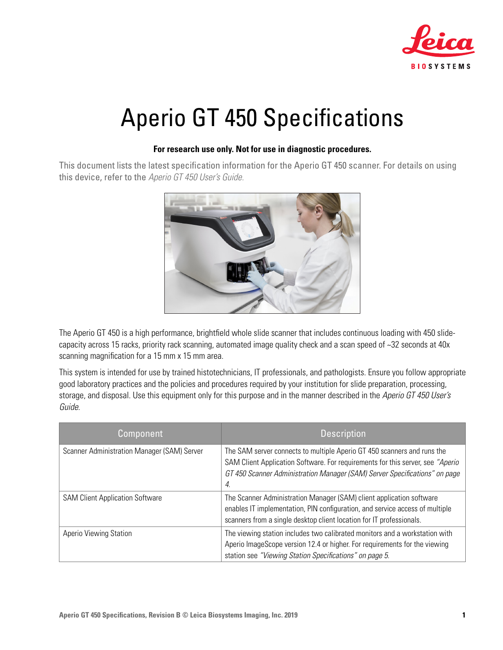

# Aperio GT 450 Specifications

#### **For research use only. Not for use in diagnostic procedures.**

This document lists the latest specification information for the Aperio GT 450 scanner. For details on using this device, refer to the *Aperio GT 450 User's Guide.*



The Aperio GT 450 is a high performance, brightfield whole slide scanner that includes continuous loading with 450 slidecapacity across 15 racks, priority rack scanning, automated image quality check and a scan speed of ~32 seconds at 40x scanning magnification for a 15 mm x 15 mm area.

This system is intended for use by trained histotechnicians, IT professionals, and pathologists. Ensure you follow appropriate good laboratory practices and the policies and procedures required by your institution for slide preparation, processing, storage, and disposal. Use this equipment only for this purpose and in the manner described in the *Aperio GT 450 User's Guide*.

| Component                                   | <b>Description</b>                                                                                                                                                                                                                            |
|---------------------------------------------|-----------------------------------------------------------------------------------------------------------------------------------------------------------------------------------------------------------------------------------------------|
| Scanner Administration Manager (SAM) Server | The SAM server connects to multiple Aperio GT 450 scanners and runs the<br>SAM Client Application Software. For requirements for this server, see "Aperio<br>GT 450 Scanner Administration Manager (SAM) Server Specifications" on page<br>4. |
| <b>SAM Client Application Software</b>      | The Scanner Administration Manager (SAM) client application software<br>enables IT implementation, PIN configuration, and service access of multiple<br>scanners from a single desktop client location for IT professionals.                  |
| Aperio Viewing Station                      | The viewing station includes two calibrated monitors and a workstation with<br>Aperio ImageScope version 12.4 or higher. For requirements for the viewing<br>station see "Viewing Station Specifications" on page 5.                          |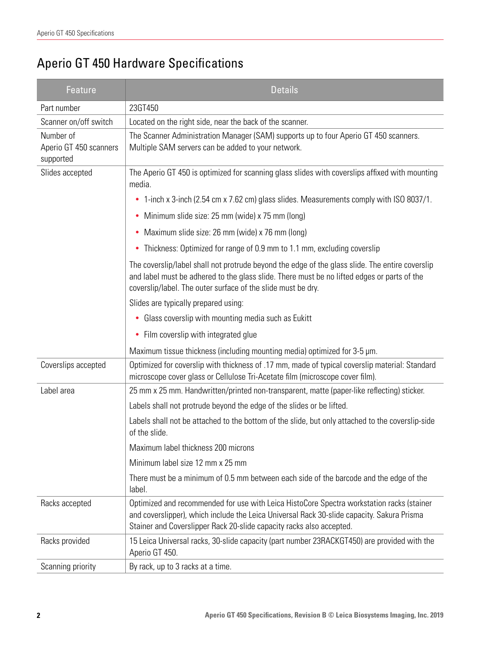# Aperio GT 450 Hardware Specifications

| Feature                                          | <b>Details</b>                                                                                                                                                                                                                                                  |  |  |
|--------------------------------------------------|-----------------------------------------------------------------------------------------------------------------------------------------------------------------------------------------------------------------------------------------------------------------|--|--|
| Part number                                      | 23GT450                                                                                                                                                                                                                                                         |  |  |
| Scanner on/off switch                            | Located on the right side, near the back of the scanner.                                                                                                                                                                                                        |  |  |
| Number of<br>Aperio GT 450 scanners<br>supported | The Scanner Administration Manager (SAM) supports up to four Aperio GT 450 scanners.<br>Multiple SAM servers can be added to your network.                                                                                                                      |  |  |
| Slides accepted                                  | The Aperio GT 450 is optimized for scanning glass slides with coverslips affixed with mounting<br>media.                                                                                                                                                        |  |  |
|                                                  | 1-inch x 3-inch (2.54 cm x 7.62 cm) glass slides. Measurements comply with ISO 8037/1.<br>٠                                                                                                                                                                     |  |  |
|                                                  | Minimum slide size: 25 mm (wide) x 75 mm (long)<br>٠                                                                                                                                                                                                            |  |  |
|                                                  | Maximum slide size: 26 mm (wide) x 76 mm (long)<br>٠                                                                                                                                                                                                            |  |  |
|                                                  | Thickness: Optimized for range of 0.9 mm to 1.1 mm, excluding coverslip<br>٠                                                                                                                                                                                    |  |  |
|                                                  | The coverslip/label shall not protrude beyond the edge of the glass slide. The entire coverslip<br>and label must be adhered to the glass slide. There must be no lifted edges or parts of the<br>coverslip/label. The outer surface of the slide must be dry.  |  |  |
|                                                  | Slides are typically prepared using:                                                                                                                                                                                                                            |  |  |
|                                                  | Glass coverslip with mounting media such as Eukitt<br>٠                                                                                                                                                                                                         |  |  |
|                                                  | Film coverslip with integrated glue<br>٠                                                                                                                                                                                                                        |  |  |
|                                                  | Maximum tissue thickness (including mounting media) optimized for 3-5 µm.                                                                                                                                                                                       |  |  |
| Coverslips accepted                              | Optimized for coverslip with thickness of .17 mm, made of typical coverslip material: Standard<br>microscope cover glass or Cellulose Tri-Acetate film (microscope cover film).                                                                                 |  |  |
| Label area                                       | 25 mm x 25 mm. Handwritten/printed non-transparent, matte (paper-like reflecting) sticker.                                                                                                                                                                      |  |  |
|                                                  | Labels shall not protrude beyond the edge of the slides or be lifted.                                                                                                                                                                                           |  |  |
|                                                  | Labels shall not be attached to the bottom of the slide, but only attached to the coverslip-side<br>of the slide.                                                                                                                                               |  |  |
|                                                  | Maximum label thickness 200 microns                                                                                                                                                                                                                             |  |  |
|                                                  | Minimum label size 12 mm x 25 mm                                                                                                                                                                                                                                |  |  |
|                                                  | There must be a minimum of 0.5 mm between each side of the barcode and the edge of the<br>label.                                                                                                                                                                |  |  |
| Racks accepted                                   | Optimized and recommended for use with Leica HistoCore Spectra workstation racks (stainer<br>and coverslipper), which include the Leica Universal Rack 30-slide capacity. Sakura Prisma<br>Stainer and Coverslipper Rack 20-slide capacity racks also accepted. |  |  |
| Racks provided                                   | 15 Leica Universal racks, 30-slide capacity (part number 23RACKGT450) are provided with the<br>Aperio GT 450.                                                                                                                                                   |  |  |
| Scanning priority                                | By rack, up to 3 racks at a time.                                                                                                                                                                                                                               |  |  |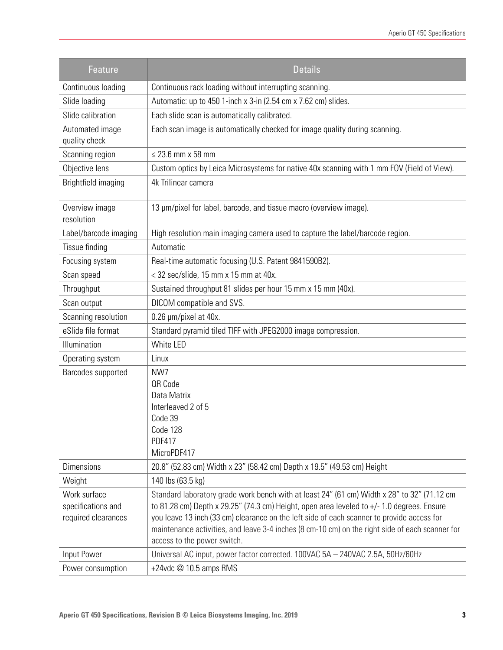| <b>Feature</b>                                            | <b>Details</b>                                                                                                                                                                                                                                                                                                                                                                                                              |  |  |
|-----------------------------------------------------------|-----------------------------------------------------------------------------------------------------------------------------------------------------------------------------------------------------------------------------------------------------------------------------------------------------------------------------------------------------------------------------------------------------------------------------|--|--|
| Continuous loading                                        | Continuous rack loading without interrupting scanning.                                                                                                                                                                                                                                                                                                                                                                      |  |  |
| Slide loading                                             | Automatic: up to 450 1-inch x 3-in (2.54 cm x 7.62 cm) slides.                                                                                                                                                                                                                                                                                                                                                              |  |  |
| Slide calibration                                         | Each slide scan is automatically calibrated.                                                                                                                                                                                                                                                                                                                                                                                |  |  |
| Automated image<br>quality check                          | Each scan image is automatically checked for image quality during scanning.                                                                                                                                                                                                                                                                                                                                                 |  |  |
| Scanning region                                           | $\leq$ 23.6 mm x 58 mm                                                                                                                                                                                                                                                                                                                                                                                                      |  |  |
| Objective lens                                            | Custom optics by Leica Microsystems for native 40x scanning with 1 mm FOV (Field of View).                                                                                                                                                                                                                                                                                                                                  |  |  |
| Brightfield imaging                                       | 4k Trilinear camera                                                                                                                                                                                                                                                                                                                                                                                                         |  |  |
| Overview image<br>resolution                              | 13 µm/pixel for label, barcode, and tissue macro (overview image).                                                                                                                                                                                                                                                                                                                                                          |  |  |
| Label/barcode imaging                                     | High resolution main imaging camera used to capture the label/barcode region.                                                                                                                                                                                                                                                                                                                                               |  |  |
| Tissue finding                                            | Automatic                                                                                                                                                                                                                                                                                                                                                                                                                   |  |  |
| Focusing system                                           | Real-time automatic focusing (U.S. Patent 9841590B2).                                                                                                                                                                                                                                                                                                                                                                       |  |  |
| Scan speed                                                | $<$ 32 sec/slide, 15 mm x 15 mm at 40x.                                                                                                                                                                                                                                                                                                                                                                                     |  |  |
| Throughput                                                | Sustained throughput 81 slides per hour 15 mm x 15 mm (40x).                                                                                                                                                                                                                                                                                                                                                                |  |  |
| Scan output                                               | DICOM compatible and SVS.                                                                                                                                                                                                                                                                                                                                                                                                   |  |  |
| Scanning resolution                                       | 0.26 µm/pixel at 40x.                                                                                                                                                                                                                                                                                                                                                                                                       |  |  |
| eSlide file format                                        | Standard pyramid tiled TIFF with JPEG2000 image compression.                                                                                                                                                                                                                                                                                                                                                                |  |  |
| Illumination                                              | White LED                                                                                                                                                                                                                                                                                                                                                                                                                   |  |  |
| Operating system                                          | Linux                                                                                                                                                                                                                                                                                                                                                                                                                       |  |  |
| Barcodes supported                                        | NW7<br>QR Code<br>Data Matrix<br>Interleaved 2 of 5<br>Code 39<br>Code 128<br><b>PDF417</b><br>MicroPDF417                                                                                                                                                                                                                                                                                                                  |  |  |
| <b>Dimensions</b>                                         | 20.8" (52.83 cm) Width x 23" (58.42 cm) Depth x 19.5" (49.53 cm) Height                                                                                                                                                                                                                                                                                                                                                     |  |  |
| Weight                                                    | 140 lbs (63.5 kg)                                                                                                                                                                                                                                                                                                                                                                                                           |  |  |
| Work surface<br>specifications and<br>required clearances | Standard laboratory grade work bench with at least 24" (61 cm) Width x 28" to 32" (71.12 cm<br>to 81.28 cm) Depth x 29.25" (74.3 cm) Height, open area leveled to $+/- 1.0$ degrees. Ensure<br>you leave 13 inch (33 cm) clearance on the left side of each scanner to provide access for<br>maintenance activities, and leave 3-4 inches (8 cm-10 cm) on the right side of each scanner for<br>access to the power switch. |  |  |
| Input Power                                               | Universal AC input, power factor corrected. 100VAC 5A - 240VAC 2.5A, 50Hz/60Hz                                                                                                                                                                                                                                                                                                                                              |  |  |
| Power consumption                                         | +24vdc @ 10.5 amps RMS                                                                                                                                                                                                                                                                                                                                                                                                      |  |  |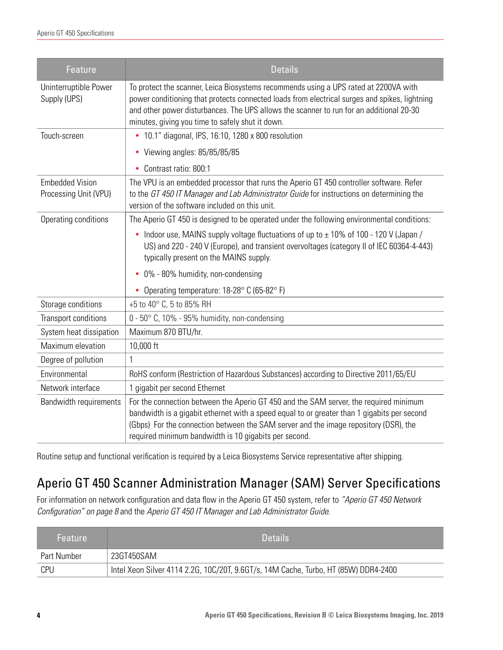| Feature                                         | <b>Details</b>                                                                                                                                                                                                                                                                                                                        |  |  |
|-------------------------------------------------|---------------------------------------------------------------------------------------------------------------------------------------------------------------------------------------------------------------------------------------------------------------------------------------------------------------------------------------|--|--|
| Uninterruptible Power<br>Supply (UPS)           | To protect the scanner, Leica Biosystems recommends using a UPS rated at 2200VA with<br>power conditioning that protects connected loads from electrical surges and spikes, lightning<br>and other power disturbances. The UPS allows the scanner to run for an additional 20-30<br>minutes, giving you time to safely shut it down.  |  |  |
| Touch-screen                                    | • 10.1" diagonal, IPS, 16:10, 1280 x 800 resolution                                                                                                                                                                                                                                                                                   |  |  |
|                                                 | • Viewing angles: 85/85/85/85                                                                                                                                                                                                                                                                                                         |  |  |
|                                                 | • Contrast ratio: 800:1                                                                                                                                                                                                                                                                                                               |  |  |
| <b>Embedded Vision</b><br>Processing Unit (VPU) | The VPU is an embedded processor that runs the Aperio GT 450 controller software. Refer<br>to the GT 450 IT Manager and Lab Administrator Guide for instructions on determining the<br>version of the software included on this unit.                                                                                                 |  |  |
| Operating conditions                            | The Aperio GT 450 is designed to be operated under the following environmental conditions:                                                                                                                                                                                                                                            |  |  |
|                                                 | Indoor use, MAINS supply voltage fluctuations of up to ± 10% of 100 - 120 V (Japan /<br>٠<br>US) and 220 - 240 V (Europe), and transient overvoltages (category II of IEC 60364-4-443)<br>typically present on the MAINS supply.                                                                                                      |  |  |
|                                                 | • 0% - 80% humidity, non-condensing                                                                                                                                                                                                                                                                                                   |  |  |
|                                                 | Operating temperature: 18-28° C (65-82° F)                                                                                                                                                                                                                                                                                            |  |  |
| Storage conditions                              | +5 to 40° C, 5 to 85% RH                                                                                                                                                                                                                                                                                                              |  |  |
| Transport conditions                            | 0 - 50° C, 10% - 95% humidity, non-condensing                                                                                                                                                                                                                                                                                         |  |  |
| System heat dissipation                         | Maximum 870 BTU/hr.                                                                                                                                                                                                                                                                                                                   |  |  |
| Maximum elevation                               | 10,000 ft                                                                                                                                                                                                                                                                                                                             |  |  |
| Degree of pollution                             | 1                                                                                                                                                                                                                                                                                                                                     |  |  |
| Environmental                                   | RoHS conform (Restriction of Hazardous Substances) according to Directive 2011/65/EU                                                                                                                                                                                                                                                  |  |  |
| Network interface                               | 1 gigabit per second Ethernet                                                                                                                                                                                                                                                                                                         |  |  |
| Bandwidth requirements                          | For the connection between the Aperio GT 450 and the SAM server, the required minimum<br>bandwidth is a gigabit ethernet with a speed equal to or greater than 1 gigabits per second<br>(Gbps) For the connection between the SAM server and the image repository (DSR), the<br>required minimum bandwidth is 10 gigabits per second. |  |  |

Routine setup and functional verification is required by a Leica Biosystems Service representative after shipping.

### <span id="page-3-0"></span>Aperio GT 450 Scanner Administration Manager (SAM) Server Specifications

For information on network configuration and data flow in the Aperio GT 450 system, refer to *["Aperio GT 450 Network](#page-7-0)  [Configuration" on page 8](#page-7-0)* and the *Aperio GT 450 IT Manager and Lab Administrator Guide*.

| <b>Feature</b>     | <b>Details</b>                                                                      |  |
|--------------------|-------------------------------------------------------------------------------------|--|
| <b>Part Number</b> | 23GT450SAM                                                                          |  |
| CPU                | Intel Xeon Silver 4114 2.2G, 10C/20T, 9.6GT/s, 14M Cache, Turbo, HT (85W) DDR4-2400 |  |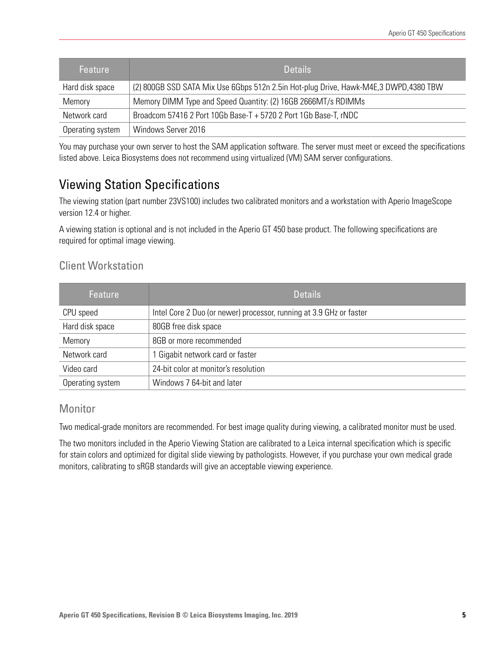| Feature          | <b>Details</b>                                                                       |  |
|------------------|--------------------------------------------------------------------------------------|--|
| Hard disk space  | (2) 800GB SSD SATA Mix Use 6Gbps 512n 2.5in Hot-plug Drive, Hawk-M4E,3 DWPD,4380 TBW |  |
| Memory           | Memory DIMM Type and Speed Quantity: (2) 16GB 2666MT/s RDIMMs                        |  |
| Network card     | Broadcom 57416 2 Port 10Gb Base-T + 5720 2 Port 1Gb Base-T, rNDC                     |  |
| Operating system | Windows Server 2016                                                                  |  |

You may purchase your own server to host the SAM application software. The server must meet or exceed the specifications listed above. Leica Biosystems does not recommend using virtualized (VM) SAM server configurations.

### <span id="page-4-0"></span>Viewing Station Specifications

The viewing station (part number 23VS100) includes two calibrated monitors and a workstation with Aperio ImageScope version 12.4 or higher.

A viewing station is optional and is not included in the Aperio GT 450 base product. The following specifications are required for optimal image viewing.

### Client Workstation

| Feature          | <b>Details</b>                                                      |  |
|------------------|---------------------------------------------------------------------|--|
| CPU speed        | Intel Core 2 Duo (or newer) processor, running at 3.9 GHz or faster |  |
| Hard disk space  | 80GB free disk space                                                |  |
| Memory           | 8GB or more recommended                                             |  |
| Network card     | 1 Gigabit network card or faster                                    |  |
| Video card       | 24-bit color at monitor's resolution                                |  |
| Operating system | Windows 7 64-bit and later                                          |  |

### Monitor

Two medical-grade monitors are recommended. For best image quality during viewing, a calibrated monitor must be used.

The two monitors included in the Aperio Viewing Station are calibrated to a Leica internal specification which is specific for stain colors and optimized for digital slide viewing by pathologists. However, if you purchase your own medical grade monitors, calibrating to sRGB standards will give an acceptable viewing experience.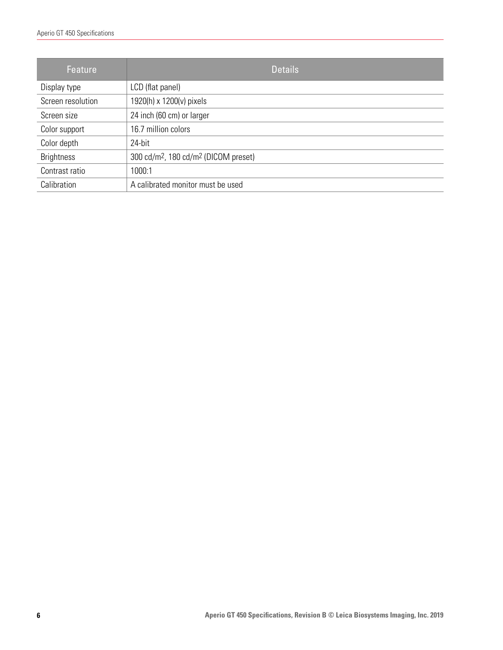| <b>Feature</b>    | <b>Details</b>                                               |  |
|-------------------|--------------------------------------------------------------|--|
| Display type      | LCD (flat panel)                                             |  |
| Screen resolution | 1920(h) x 1200(v) pixels                                     |  |
| Screen size       | 24 inch (60 cm) or larger                                    |  |
| Color support     | 16.7 million colors                                          |  |
| Color depth       | 24-bit                                                       |  |
| <b>Brightness</b> | 300 cd/m <sup>2</sup> , 180 cd/m <sup>2</sup> (DICOM preset) |  |
| Contrast ratio    | 1000:1                                                       |  |
| Calibration       | A calibrated monitor must be used                            |  |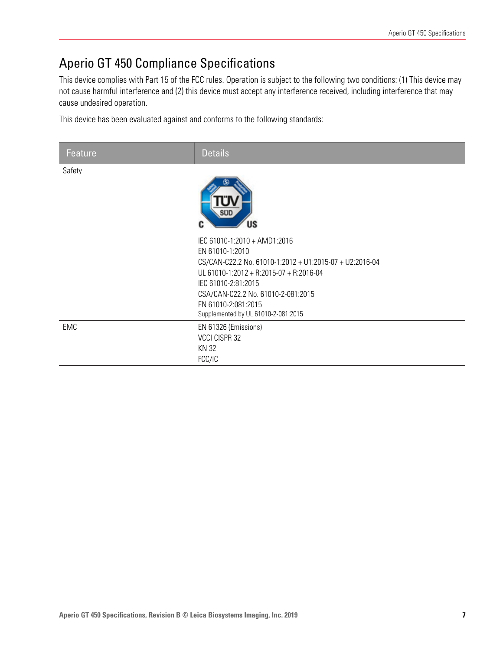## Aperio GT 450 Compliance Specifications

This device complies with Part 15 of the FCC rules. Operation is subject to the following two conditions: (1) This device may not cause harmful interference and (2) this device must accept any interference received, including interference that may cause undesired operation.

This device has been evaluated against and conforms to the following standards:

| Feature    | <b>Details</b>                                                                                                                                                                                                                                                                   |
|------------|----------------------------------------------------------------------------------------------------------------------------------------------------------------------------------------------------------------------------------------------------------------------------------|
| Safety     | sui<br>US                                                                                                                                                                                                                                                                        |
|            | IEC 61010-1:2010 + AMD1:2016<br>EN 61010-1:2010<br>CS/CAN-C22.2 No. 61010-1:2012 + U1:2015-07 + U2:2016-04<br>UL 61010-1:2012 + R:2015-07 + R:2016-04<br>IEC 61010-2:81:2015<br>CSA/CAN-C22.2 No. 61010-2-081:2015<br>EN 61010-2:081:2015<br>Supplemented by UL 61010-2-081:2015 |
| <b>EMC</b> | EN 61326 (Emissions)<br>VCCI CISPR 32<br>KN 32<br>FCC/IC                                                                                                                                                                                                                         |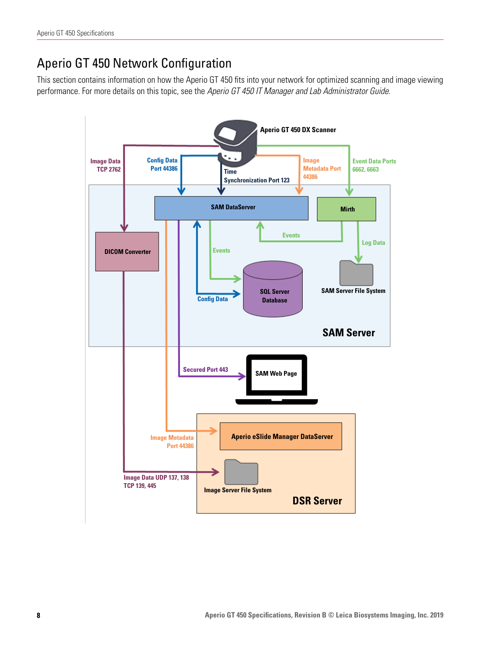### <span id="page-7-0"></span>Aperio GT 450 Network Configuration

This section contains information on how the Aperio GT 450 fits into your network for optimized scanning and image viewing performance. For more details on this topic, see the *Aperio GT 450 IT Manager and Lab Administrator Guide*.

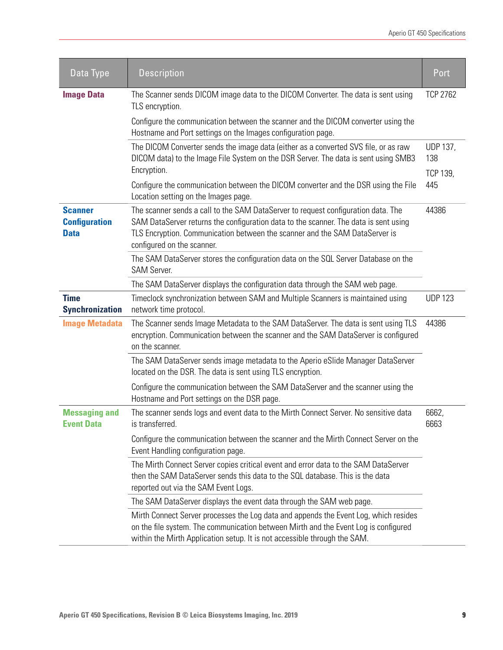| Data Type                                                                                                | <b>Description</b>                                                                                                                                                                                                                                                                     | Port                                      |
|----------------------------------------------------------------------------------------------------------|----------------------------------------------------------------------------------------------------------------------------------------------------------------------------------------------------------------------------------------------------------------------------------------|-------------------------------------------|
| <b>Image Data</b>                                                                                        | The Scanner sends DICOM image data to the DICOM Converter. The data is sent using<br>TLS encryption.                                                                                                                                                                                   | <b>TCP 2762</b>                           |
|                                                                                                          | Configure the communication between the scanner and the DICOM converter using the<br>Hostname and Port settings on the Images configuration page.                                                                                                                                      |                                           |
|                                                                                                          | The DICOM Converter sends the image data (either as a converted SVS file, or as raw<br>DICOM data) to the Image File System on the DSR Server. The data is sent using SMB3<br>Encryption.                                                                                              | <b>UDP 137,</b><br>138<br><b>TCP 139,</b> |
|                                                                                                          | Configure the communication between the DICOM converter and the DSR using the File<br>Location setting on the Images page.                                                                                                                                                             | 445                                       |
| <b>Scanner</b><br><b>Configuration</b><br><b>Data</b>                                                    | The scanner sends a call to the SAM DataServer to request configuration data. The<br>SAM DataServer returns the configuration data to the scanner. The data is sent using<br>TLS Encryption. Communication between the scanner and the SAM DataServer is<br>configured on the scanner. | 44386                                     |
| The SAM DataServer stores the configuration data on the SQL Server Database on the<br><b>SAM Server.</b> |                                                                                                                                                                                                                                                                                        |                                           |
|                                                                                                          | The SAM DataServer displays the configuration data through the SAM web page.                                                                                                                                                                                                           |                                           |
| <b>Time</b><br><b>Synchronization</b>                                                                    | Timeclock synchronization between SAM and Multiple Scanners is maintained using<br>network time protocol.                                                                                                                                                                              | <b>UDP 123</b>                            |
| <b>Image Metadata</b>                                                                                    | The Scanner sends Image Metadata to the SAM DataServer. The data is sent using TLS<br>encryption. Communication between the scanner and the SAM DataServer is configured<br>on the scanner.                                                                                            | 44386                                     |
|                                                                                                          | The SAM DataServer sends image metadata to the Aperio eSlide Manager DataServer<br>located on the DSR. The data is sent using TLS encryption.                                                                                                                                          |                                           |
|                                                                                                          | Configure the communication between the SAM DataServer and the scanner using the<br>Hostname and Port settings on the DSR page.                                                                                                                                                        |                                           |
| <b>Messaging and</b><br><b>Event Data</b>                                                                | The scanner sends logs and event data to the Mirth Connect Server. No sensitive data<br>is transferred.                                                                                                                                                                                | 6662,<br>6663                             |
|                                                                                                          | Configure the communication between the scanner and the Mirth Connect Server on the<br>Event Handling configuration page.                                                                                                                                                              |                                           |
|                                                                                                          | The Mirth Connect Server copies critical event and error data to the SAM DataServer<br>then the SAM DataServer sends this data to the SQL database. This is the data<br>reported out via the SAM Event Logs.                                                                           |                                           |
|                                                                                                          | The SAM DataServer displays the event data through the SAM web page.                                                                                                                                                                                                                   |                                           |
|                                                                                                          | Mirth Connect Server processes the Log data and appends the Event Log, which resides<br>on the file system. The communication between Mirth and the Event Log is configured<br>within the Mirth Application setup. It is not accessible through the SAM.                               |                                           |